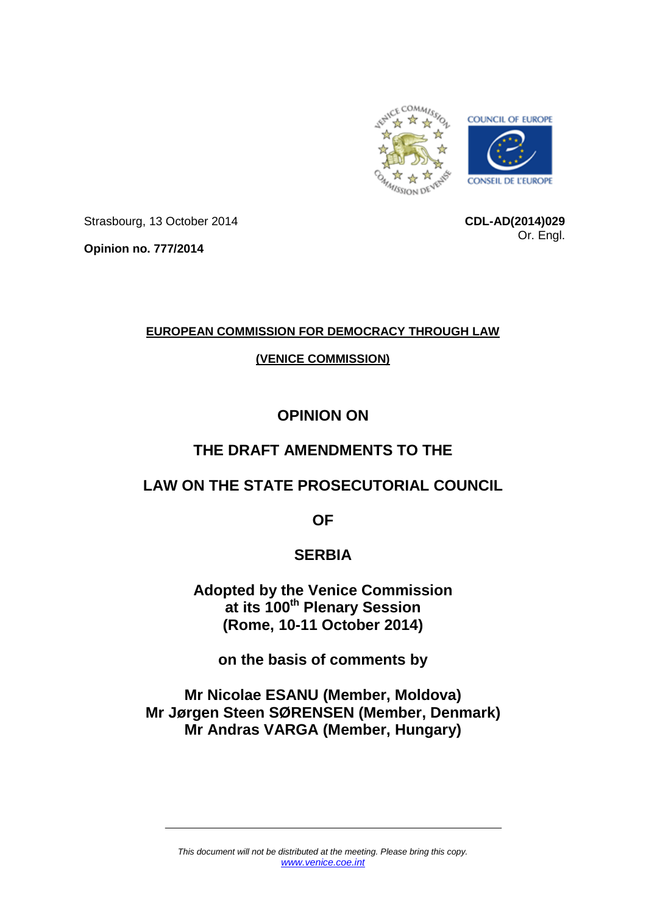

Strasbourg, 13 October 2014

**Opinion no. 777/2014**

**CDL-AD(2014)029** Or. Engl.

## **EUROPEAN COMMISSION FOR DEMOCRACY THROUGH LAW**

## **(VENICE COMMISSION)**

# **OPINION ON**

# **THE DRAFT AMENDMENTS TO THE**

# **LAW ON THE STATE PROSECUTORIAL COUNCIL**

**OF**

# **SERBIA**

**Adopted by the Venice Commission at its 100th Plenary Session (Rome, 10-11 October 2014)**

**on the basis of comments by**

**Mr Nicolae ESANU (Member, Moldova) Mr Jørgen Steen SØRENSEN (Member, Denmark) Mr Andras VARGA (Member, Hungary)**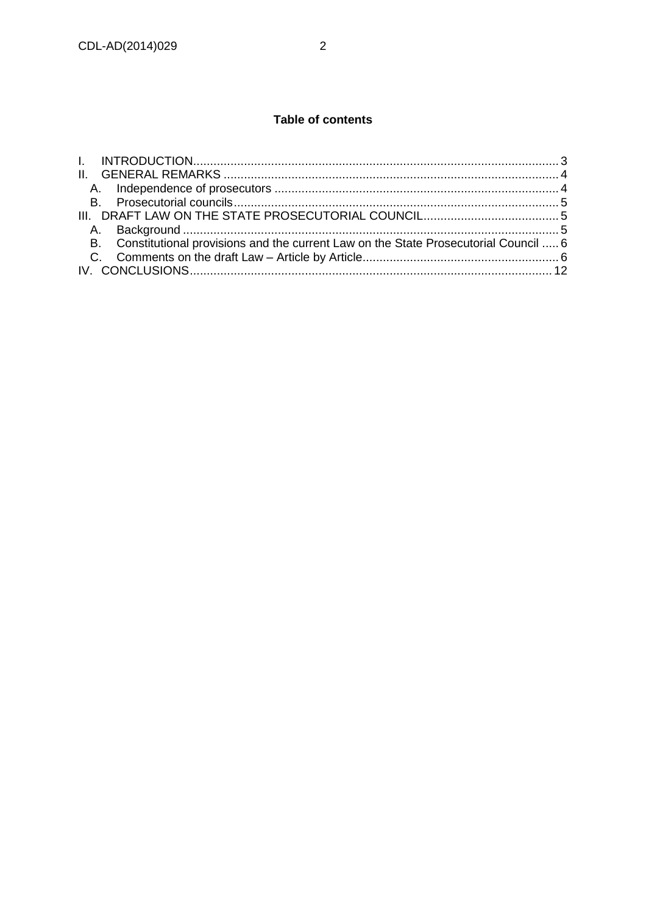## Table of contents

| B. Constitutional provisions and the current Law on the State Prosecutorial Council  6 |  |
|----------------------------------------------------------------------------------------|--|
|                                                                                        |  |
|                                                                                        |  |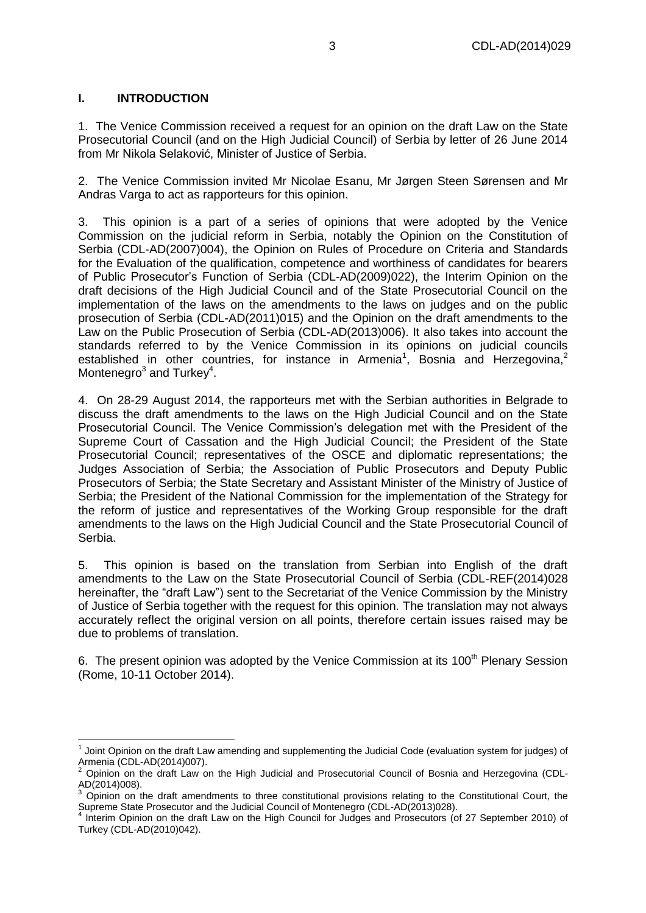#### <span id="page-2-0"></span>**I. INTRODUCTION**

1. The Venice Commission received a request for an opinion on the draft Law on the State Prosecutorial Council (and on the High Judicial Council) of Serbia by letter of 26 June 2014 from Mr Nikola Selaković, Minister of Justice of Serbia.

2. The Venice Commission invited Mr Nicolae Esanu, Mr Jørgen Steen Sørensen and Mr Andras Varga to act as rapporteurs for this opinion.

3. This opinion is a part of a series of opinions that were adopted by the Venice Commission on the judicial reform in Serbia, notably the Opinion on the Constitution of Serbia (CDL-AD(2007)004), the Opinion on Rules of Procedure on Criteria and Standards for the Evaluation of the qualification, competence and worthiness of candidates for bearers of Public Prosecutor's Function of Serbia (CDL-AD(2009)022), the [Interim Opinion on the](http://www.venice.coe.int/webforms/documents/?pdf=CDL-AD(2012)014-e)  [draft decisions of the High Judicial Council and of the State Prosecutorial Council on the](http://www.venice.coe.int/webforms/documents/?pdf=CDL-AD(2012)014-e)  [implementation of the laws on the amendments to the laws on judges and on the public](http://www.venice.coe.int/webforms/documents/?pdf=CDL-AD(2012)014-e)  [prosecution of Serbia \(CDL-AD\(2011\)015\)](http://www.venice.coe.int/webforms/documents/?pdf=CDL-AD(2012)014-e) and the Opinion on the draft amendments to the Law on the Public Prosecution of Serbia (CDL-AD(2013)006). It also takes into account the standards referred to by the Venice Commission in its opinions on judicial councils established in other countries, for instance in Armenia<sup>1</sup>, Bosnia and Herzegovina,<sup>2</sup> Montenegro<sup>3</sup> and Turkey<sup>4</sup>.

4. On 28-29 August 2014, the rapporteurs met with the Serbian authorities in Belgrade to discuss the draft amendments to the laws on the High Judicial Council and on the State Prosecutorial Council. The Venice Commission's delegation met with the President of the Supreme Court of Cassation and the High Judicial Council; the President of the State Prosecutorial Council; representatives of the OSCE and diplomatic representations; the Judges Association of Serbia; the Association of Public Prosecutors and Deputy Public Prosecutors of Serbia; the State Secretary and Assistant Minister of the Ministry of Justice of Serbia; the President of the National Commission for the implementation of the Strategy for the reform of justice and representatives of the Working Group responsible for the draft amendments to the laws on the High Judicial Council and the State Prosecutorial Council of Serbia.

5. This opinion is based on the translation from Serbian into English of the draft amendments to the Law on the State Prosecutorial Council of Serbia (CDL-REF(2014)028 hereinafter, the "draft Law") sent to the Secretariat of the Venice Commission by the Ministry of Justice of Serbia together with the request for this opinion. The translation may not always accurately reflect the original version on all points, therefore certain issues raised may be due to problems of translation.

6. The present opinion was adopted by the Venice Commission at its 100<sup>th</sup> Plenary Session (Rome, 10-11 October 2014).

 $1$  Joint Opinion on the draft Law amending and supplementing the Judicial Code (evaluation system for judges) of Armenia (CDL-AD(2014)007).

<sup>2</sup> Opinion on the draft Law on the High Judicial and Prosecutorial Council of Bosnia and Herzegovina (CDL-AD(2014)008).

 $3$  Opinion on the draft amendments to three constitutional provisions relating to the Constitutional Court, the Supreme State Prosecutor and the Judicial Council of Montenegro (CDL-AD(2013)028). 4

Interim Opinion on the draft Law on the High Council for Judges and Prosecutors (of 27 September 2010) of Turkey (CDL-AD(2010)042).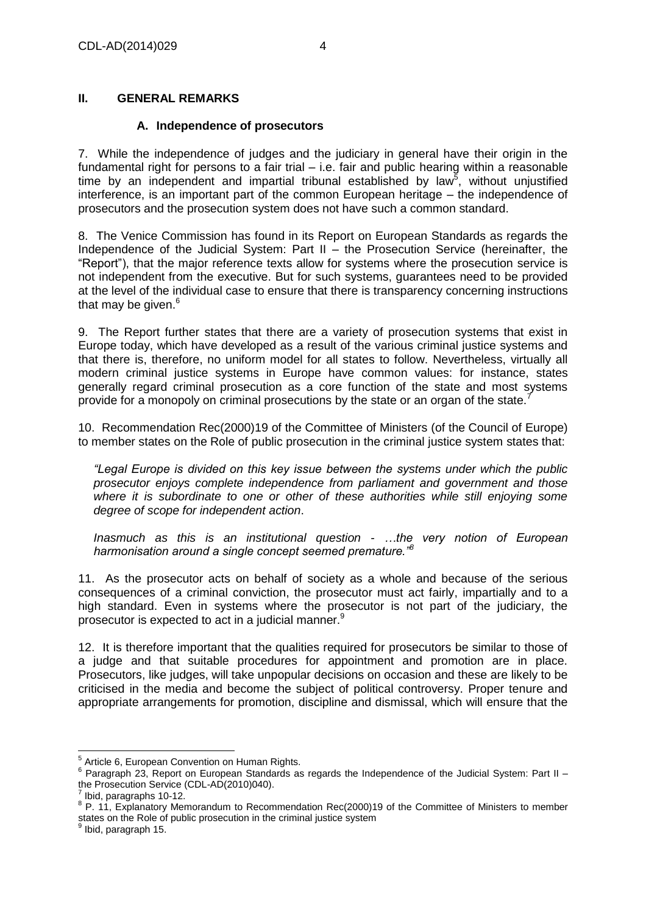### <span id="page-3-0"></span>**II. GENERAL REMARKS**

#### **A. Independence of prosecutors**

<span id="page-3-1"></span>7. While the independence of judges and the judiciary in general have their origin in the fundamental right for persons to a fair trial – i.e. fair and public hearing within a reasonable time by an independent and impartial tribunal established by law<sup>5</sup>, without unjustified interference, is an important part of the common European heritage – the independence of prosecutors and the prosecution system does not have such a common standard.

8. The Venice Commission has found in its Report on European Standards as regards the Independence of the Judicial System: Part II – the Prosecution Service (hereinafter, the "Report"), that the major reference texts allow for systems where the prosecution service is not independent from the executive. But for such systems, guarantees need to be provided at the level of the individual case to ensure that there is transparency concerning instructions that may be given. $6$ 

9. The Report further states that there are a variety of prosecution systems that exist in Europe today, which have developed as a result of the various criminal justice systems and that there is, therefore, no uniform model for all states to follow. Nevertheless, virtually all modern criminal justice systems in Europe have common values: for instance, states generally regard criminal prosecution as a core function of the state and most systems provide for a monopoly on criminal prosecutions by the state or an organ of the state.

10. Recommendation Rec(2000)19 of the Committee of Ministers (of the Council of Europe) to member states on the Role of public prosecution in the criminal justice system states that:

*"Legal Europe is divided on this key issue between the systems under which the public prosecutor enjoys complete independence from parliament and government and those where it is subordinate to one or other of these authorities while still enjoying some degree of scope for independent action*.

*Inasmuch as this is an institutional question - …the very notion of European harmonisation around a single concept seemed premature."<sup>8</sup>*

11. As the prosecutor acts on behalf of society as a whole and because of the serious consequences of a criminal conviction, the prosecutor must act fairly, impartially and to a high standard. Even in systems where the prosecutor is not part of the judiciary, the prosecutor is expected to act in a judicial manner. $9$ 

12. It is therefore important that the qualities required for prosecutors be similar to those of a judge and that suitable procedures for appointment and promotion are in place. Prosecutors, like judges, will take unpopular decisions on occasion and these are likely to be criticised in the media and become the subject of political controversy. Proper tenure and appropriate arrangements for promotion, discipline and dismissal, which will ensure that the

i<br>L

<sup>&</sup>lt;sup>5</sup> Article 6, European Convention on Human Rights.

<sup>6</sup> Paragraph 23, Report on European Standards as regards the Independence of the Judicial System: Part II – the Prosecution Service (CDL-AD(2010)040).

<sup>7</sup> Ibid, paragraphs 10-12.

<sup>&</sup>lt;sup>8</sup> P. 11, Explanatory Memorandum to Recommendation Rec(2000)19 of the Committee of Ministers to member states on the Role of public prosecution in the criminal justice system 9

Ibid, paragraph 15.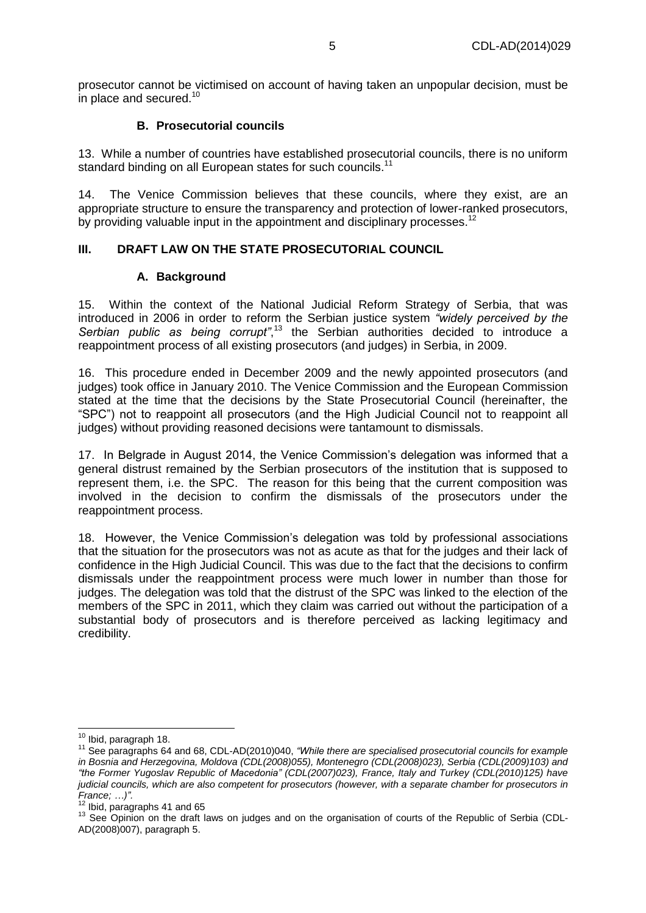prosecutor cannot be victimised on account of having taken an unpopular decision, must be in place and secured. $10$ 

#### **B. Prosecutorial councils**

<span id="page-4-0"></span>13. While a number of countries have established prosecutorial councils, there is no uniform standard binding on all European states for such councils.<sup>11</sup>

14. The Venice Commission believes that these councils, where they exist, are an appropriate structure to ensure the transparency and protection of lower-ranked prosecutors, by providing valuable input in the appointment and disciplinary processes.<sup>12</sup>

### <span id="page-4-1"></span>**III. DRAFT LAW ON THE STATE PROSECUTORIAL COUNCIL**

#### **A. Background**

<span id="page-4-2"></span>15. Within the context of the National Judicial Reform Strategy of Serbia, that was introduced in 2006 in order to reform the Serbian justice system *"widely perceived by the*  Serbian public as being corrupt<sup>",13</sup> the Serbian authorities decided to introduce a reappointment process of all existing prosecutors (and judges) in Serbia, in 2009.

16. This procedure ended in December 2009 and the newly appointed prosecutors (and judges) took office in January 2010. The Venice Commission and the European Commission stated at the time that the decisions by the State Prosecutorial Council (hereinafter, the "SPC") not to reappoint all prosecutors (and the High Judicial Council not to reappoint all judges) without providing reasoned decisions were tantamount to dismissals.

17. In Belgrade in August 2014, the Venice Commission's delegation was informed that a general distrust remained by the Serbian prosecutors of the institution that is supposed to represent them, i.e. the SPC. The reason for this being that the current composition was involved in the decision to confirm the dismissals of the prosecutors under the reappointment process.

18. However, the Venice Commission's delegation was told by professional associations that the situation for the prosecutors was not as acute as that for the judges and their lack of confidence in the High Judicial Council. This was due to the fact that the decisions to confirm dismissals under the reappointment process were much lower in number than those for judges. The delegation was told that the distrust of the SPC was linked to the election of the members of the SPC in 2011, which they claim was carried out without the participation of a substantial body of prosecutors and is therefore perceived as lacking legitimacy and credibility.

 $\overline{a}$  $10$  Ibid, paragraph 18.

<sup>11</sup> See paragraphs 64 and 68, CDL-AD(2010)040, *"While there are specialised prosecutorial councils for example in Bosnia and Herzegovina, Moldova (CDL(2008)055), Montenegro (CDL(2008)023), Serbia (CDL(2009)103) and "the Former Yugoslav Republic of Macedonia" (CDL(2007)023), France, Italy and Turkey (CDL(2010)125) have judicial councils, which are also competent for prosecutors (however, with a separate chamber for prosecutors in France; …)".*

<sup>&</sup>lt;sup>12</sup> Ibid, paragraphs 41 and 65

<sup>&</sup>lt;sup>13</sup> See Opinion on the draft laws on judges and on the organisation of courts of the Republic of Serbia (CDL-AD(2008)007), paragraph 5.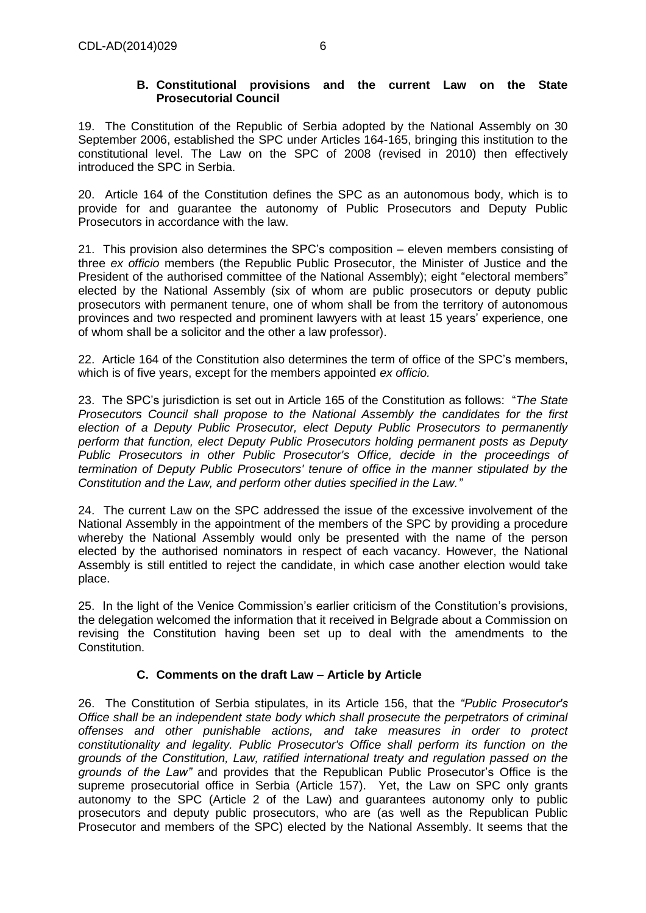#### **B. Constitutional provisions and the current Law on the State Prosecutorial Council**

<span id="page-5-0"></span>19. The Constitution of the Republic of Serbia adopted by the National Assembly on 30 September 2006, established the SPC under Articles 164-165, bringing this institution to the constitutional level. The Law on the SPC of 2008 (revised in 2010) then effectively introduced the SPC in Serbia.

20. Article 164 of the Constitution defines the SPC as an autonomous body, which is to provide for and guarantee the autonomy of Public Prosecutors and Deputy Public Prosecutors in accordance with the law.

21. This provision also determines the SPC's composition – eleven members consisting of three *ex officio* members (the Republic Public Prosecutor, the Minister of Justice and the President of the authorised committee of the National Assembly); eight "electoral members" elected by the National Assembly (six of whom are public prosecutors or deputy public prosecutors with permanent tenure, one of whom shall be from the territory of autonomous provinces and two respected and prominent lawyers with at least 15 years' experience, one of whom shall be a solicitor and the other a law professor).

22. Article 164 of the Constitution also determines the term of office of the SPC's members, which is of five years, except for the members appointed *ex officio.* 

23. The SPC's jurisdiction is set out in Article 165 of the Constitution as follows: "*The State Prosecutors Council shall propose to the National Assembly the candidates for the first election of a Deputy Public Prosecutor, elect Deputy Public Prosecutors to permanently perform that function, elect Deputy Public Prosecutors holding permanent posts as Deputy Public Prosecutors in other Public Prosecutor's Office, decide in the proceedings of termination of Deputy Public Prosecutors' tenure of office in the manner stipulated by the Constitution and the Law, and perform other duties specified in the Law."*

24. The current Law on the SPC addressed the issue of the excessive involvement of the National Assembly in the appointment of the members of the SPC by providing a procedure whereby the National Assembly would only be presented with the name of the person elected by the authorised nominators in respect of each vacancy. However, the National Assembly is still entitled to reject the candidate, in which case another election would take place.

25. In the light of the Venice Commission's earlier criticism of the Constitution's provisions, the delegation welcomed the information that it received in Belgrade about a Commission on revising the Constitution having been set up to deal with the amendments to the Constitution.

### **C. Comments on the draft Law – Article by Article**

<span id="page-5-1"></span>26. The Constitution of Serbia stipulates, in its Article 156, that the *"Public Prosecutor's Office shall be an independent state body which shall prosecute the perpetrators of criminal offenses and other punishable actions, and take measures in order to protect constitutionality and legality. Public Prosecutor's Office shall perform its function on the grounds of the Constitution, Law, ratified international treaty and regulation passed on the grounds of the Law"* and provides that the Republican Public Prosecutor's Office is the supreme prosecutorial office in Serbia (Article 157). Yet, the Law on SPC only grants autonomy to the SPC (Article 2 of the Law) and guarantees autonomy only to public prosecutors and deputy public prosecutors, who are (as well as the Republican Public Prosecutor and members of the SPC) elected by the National Assembly. It seems that the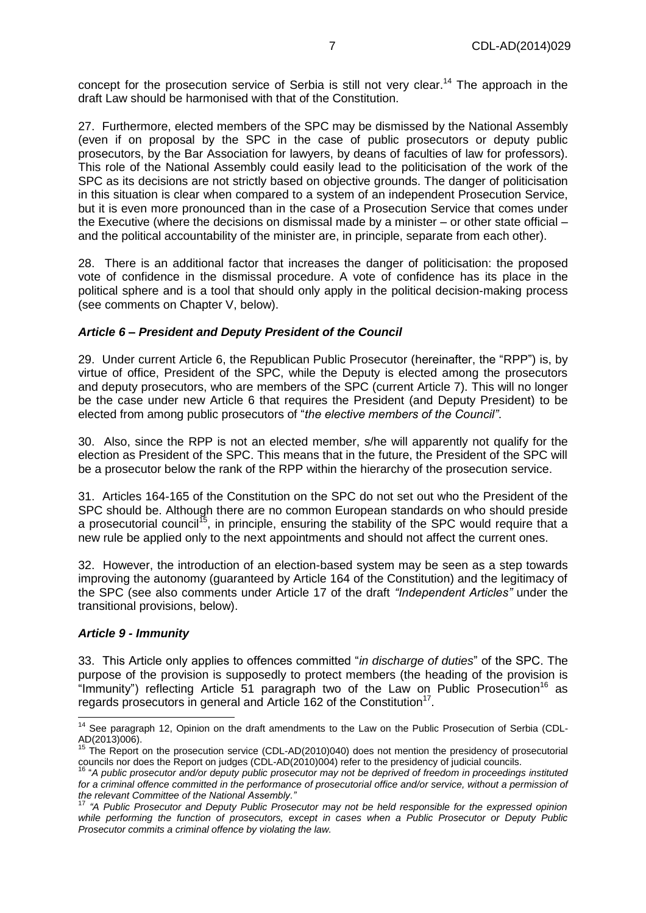concept for the prosecution service of Serbia is still not very clear.<sup>14</sup> The approach in the draft Law should be harmonised with that of the Constitution.

27. Furthermore, elected members of the SPC may be dismissed by the National Assembly (even if on proposal by the SPC in the case of public prosecutors or deputy public prosecutors, by the Bar Association for lawyers, by deans of faculties of law for professors). This role of the National Assembly could easily lead to the politicisation of the work of the SPC as its decisions are not strictly based on objective grounds. The danger of politicisation in this situation is clear when compared to a system of an independent Prosecution Service, but it is even more pronounced than in the case of a Prosecution Service that comes under the Executive (where the decisions on dismissal made by a minister – or other state official – and the political accountability of the minister are, in principle, separate from each other).

28. There is an additional factor that increases the danger of politicisation: the proposed vote of confidence in the dismissal procedure. A vote of confidence has its place in the political sphere and is a tool that should only apply in the political decision-making process (see comments on Chapter V, below).

#### *Article 6 – President and Deputy President of the Council*

29. Under current Article 6, the Republican Public Prosecutor (hereinafter, the "RPP") is, by virtue of office, President of the SPC, while the Deputy is elected among the prosecutors and deputy prosecutors, who are members of the SPC (current Article 7). This will no longer be the case under new Article 6 that requires the President (and Deputy President) to be elected from among public prosecutors of "*the elective members of the Council"*.

30. Also, since the RPP is not an elected member, s/he will apparently not qualify for the election as President of the SPC. This means that in the future, the President of the SPC will be a prosecutor below the rank of the RPP within the hierarchy of the prosecution service.

31. Articles 164-165 of the Constitution on the SPC do not set out who the President of the SPC should be. Although there are no common European standards on who should preside a prosecutorial council<sup>15</sup>, in principle, ensuring the stability of the SPC would require that a new rule be applied only to the next appointments and should not affect the current ones.

32. However, the introduction of an election-based system may be seen as a step towards improving the autonomy (guaranteed by Article 164 of the Constitution) and the legitimacy of the SPC (see also comments under Article 17 of the draft *"Independent Articles"* under the transitional provisions, below).

#### *Article 9 - Immunity*

j

33. This Article only applies to offences committed "*in discharge of duties*" of the SPC. The purpose of the provision is supposedly to protect members (the heading of the provision is "Immunity") reflecting Article 51 paragraph two of the Law on Public Prosecution<sup>16</sup> as regards prosecutors in general and Article 162 of the Constitution<sup>17</sup>.

<sup>&</sup>lt;sup>14</sup> See paragraph 12, Opinion on the draft amendments to the Law on the Public Prosecution of Serbia (CDL-AD(2013)006).

<sup>&</sup>lt;sup>15</sup> The Report on the prosecution service (CDL-AD(2010)040) does not mention the presidency of prosecutorial councils nor does the Report on judges (CDL-AD(2010)004) refer to the presidency of judicial councils.

<sup>16</sup> "*A public prosecutor and/or deputy public prosecutor may not be deprived of freedom in proceedings instituted* for a criminal offence committed in the performance of prosecutorial office and/or service, without a permission of *the relevant Committee of the National Assembly."*

<sup>17</sup> *"A Public Prosecutor and Deputy Public Prosecutor may not be held responsible for the expressed opinion while performing the function of prosecutors, except in cases when a Public Prosecutor or Deputy Public Prosecutor commits a criminal offence by violating the law.*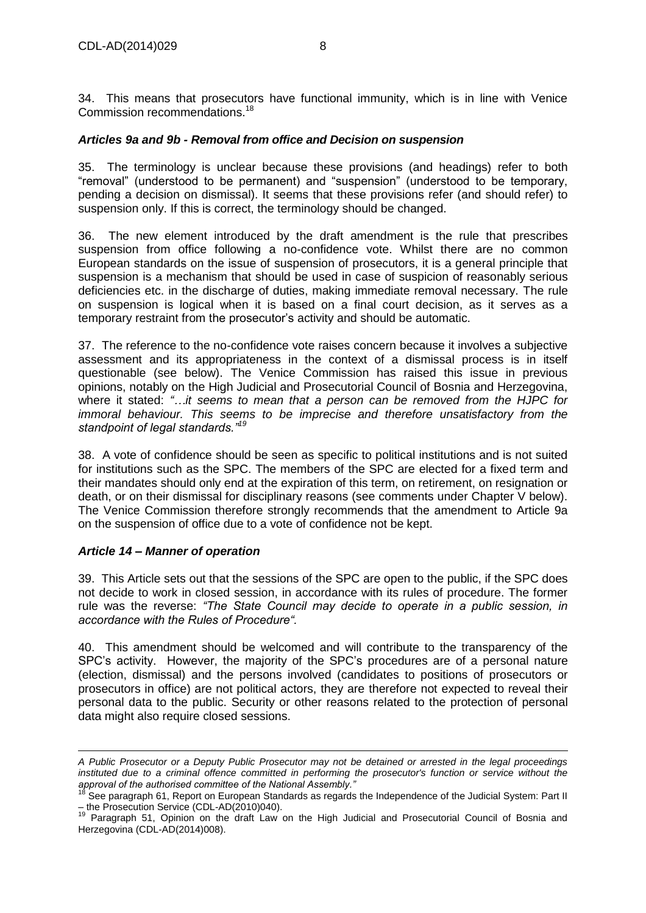34. This means that prosecutors have functional immunity, which is in line with Venice Commission recommendations.<sup>18</sup>

#### *Articles 9a and 9b - Removal from office and Decision on suspension*

35. The terminology is unclear because these provisions (and headings) refer to both "removal" (understood to be permanent) and "suspension" (understood to be temporary, pending a decision on dismissal). It seems that these provisions refer (and should refer) to suspension only. If this is correct, the terminology should be changed.

36. The new element introduced by the draft amendment is the rule that prescribes suspension from office following a no-confidence vote. Whilst there are no common European standards on the issue of suspension of prosecutors, it is a general principle that suspension is a mechanism that should be used in case of suspicion of reasonably serious deficiencies etc. in the discharge of duties, making immediate removal necessary. The rule on suspension is logical when it is based on a final court decision, as it serves as a temporary restraint from the prosecutor's activity and should be automatic.

37. The reference to the no-confidence vote raises concern because it involves a subjective assessment and its appropriateness in the context of a dismissal process is in itself questionable (see below). The Venice Commission has raised this issue in previous opinions, notably on the High Judicial and Prosecutorial Council of Bosnia and Herzegovina, where it stated: *"…it seems to mean that a person can be removed from the HJPC for immoral behaviour. This seems to be imprecise and therefore unsatisfactory from the standpoint of legal standards."<sup>19</sup>*

38. A vote of confidence should be seen as specific to political institutions and is not suited for institutions such as the SPC. The members of the SPC are elected for a fixed term and their mandates should only end at the expiration of this term, on retirement, on resignation or death, or on their dismissal for disciplinary reasons (see comments under Chapter V below). The Venice Commission therefore strongly recommends that the amendment to Article 9a on the suspension of office due to a vote of confidence not be kept.

#### *Article 14 – Manner of operation*

39. This Article sets out that the sessions of the SPC are open to the public, if the SPC does not decide to work in closed session, in accordance with its rules of procedure. The former rule was the reverse: *"The State Council may decide to operate in a public session, in accordance with the Rules of Procedure".*

40. This amendment should be welcomed and will contribute to the transparency of the SPC's activity. However, the majority of the SPC's procedures are of a personal nature (election, dismissal) and the persons involved (candidates to positions of prosecutors or prosecutors in office) are not political actors, they are therefore not expected to reveal their personal data to the public. Security or other reasons related to the protection of personal data might also require closed sessions.

 *A Public Prosecutor or a Deputy Public Prosecutor may not be detained or arrested in the legal proceedings instituted due to a criminal offence committed in performing the prosecutor's function or service without the approval of the authorised committee of the National Assembly."* 

<sup>&</sup>lt;sup>18</sup> See paragraph 61, Report on European Standards as regards the Independence of the Judicial System: Part II – the Prosecution Service (CDL-AD(2010)040).

<sup>19</sup> Paragraph 51, Opinion on the draft Law on the High Judicial and Prosecutorial Council of Bosnia and Herzegovina (CDL-AD(2014)008).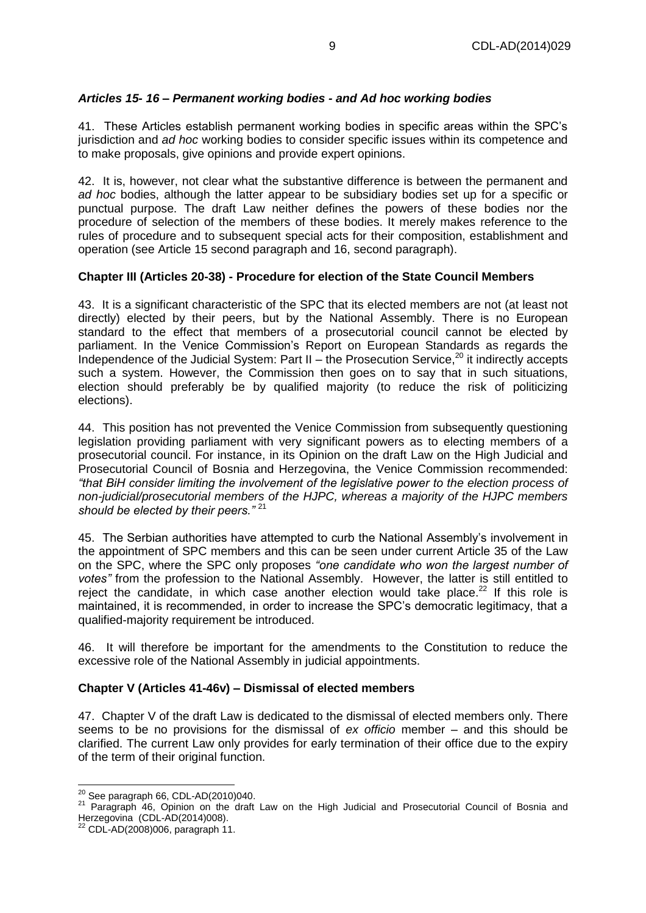### *Articles 15- 16 – Permanent working bodies - and Ad hoc working bodies*

41. These Articles establish permanent working bodies in specific areas within the SPC's jurisdiction and *ad hoc* working bodies to consider specific issues within its competence and to make proposals, give opinions and provide expert opinions.

42. It is, however, not clear what the substantive difference is between the permanent and *ad hoc* bodies, although the latter appear to be subsidiary bodies set up for a specific or punctual purpose. The draft Law neither defines the powers of these bodies nor the procedure of selection of the members of these bodies. It merely makes reference to the rules of procedure and to subsequent special acts for their composition, establishment and operation (see Article 15 second paragraph and 16, second paragraph).

#### **Chapter III (Articles 20-38) - Procedure for election of the State Council Members**

43. It is a significant characteristic of the SPC that its elected members are not (at least not directly) elected by their peers, but by the National Assembly. There is no European standard to the effect that members of a prosecutorial council cannot be elected by parliament. In the Venice Commission's Report on European Standards as regards the Independence of the Judicial System: Part II – the Prosecution Service, $^{20}$  it indirectly accepts such a system. However, the Commission then goes on to say that in such situations, election should preferably be by qualified majority (to reduce the risk of politicizing elections).

44. This position has not prevented the Venice Commission from subsequently questioning legislation providing parliament with very significant powers as to electing members of a prosecutorial council. For instance, in its Opinion on the draft Law on the High Judicial and Prosecutorial Council of Bosnia and Herzegovina, the Venice Commission recommended: *"that BiH consider limiting the involvement of the legislative power to the election process of non-judicial/prosecutorial members of the HJPC, whereas a majority of the HJPC members should be elected by their peers."* <sup>21</sup>

45. The Serbian authorities have attempted to curb the National Assembly's involvement in the appointment of SPC members and this can be seen under current Article 35 of the Law on the SPC, where the SPC only proposes *"one candidate who won the largest number of votes"* from the profession to the National Assembly. However, the latter is still entitled to reject the candidate, in which case another election would take place.<sup>22</sup> If this role is maintained, it is recommended, in order to increase the SPC's democratic legitimacy, that a qualified-majority requirement be introduced.

46. It will therefore be important for the amendments to the Constitution to reduce the excessive role of the National Assembly in judicial appointments.

#### **Chapter V (Articles 41-46v) – Dismissal of elected members**

47. Chapter V of the draft Law is dedicated to the dismissal of elected members only. There seems to be no provisions for the dismissal of *ex officio* member – and this should be clarified. The current Law only provides for early termination of their office due to the expiry of the term of their original function.

 $^{20}$  See paragraph 66, CDL-AD(2010)040.

<sup>&</sup>lt;sup>21</sup> Paragraph 46, Opinion on the draft Law on the High Judicial and Prosecutorial Council of Bosnia and Herzegovina (CDL-AD(2014)008).

<sup>22</sup> CDL-AD(2008)006, paragraph 11.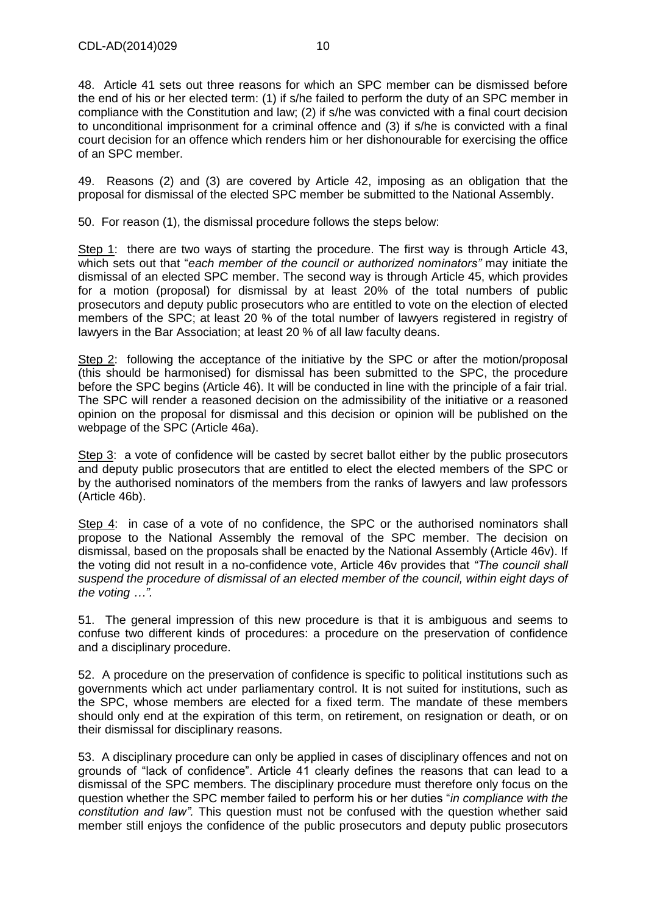48. Article 41 sets out three reasons for which an SPC member can be dismissed before the end of his or her elected term: (1) if s/he failed to perform the duty of an SPC member in compliance with the Constitution and law; (2) if s/he was convicted with a final court decision to unconditional imprisonment for a criminal offence and (3) if s/he is convicted with a final court decision for an offence which renders him or her dishonourable for exercising the office of an SPC member.

49. Reasons (2) and (3) are covered by Article 42, imposing as an obligation that the proposal for dismissal of the elected SPC member be submitted to the National Assembly.

50. For reason (1), the dismissal procedure follows the steps below:

Step 1: there are two ways of starting the procedure. The first way is through Article 43, which sets out that "*each member of the council or authorized nominators"* may initiate the dismissal of an elected SPC member. The second way is through Article 45, which provides for a motion (proposal) for dismissal by at least 20% of the total numbers of public prosecutors and deputy public prosecutors who are entitled to vote on the election of elected members of the SPC; at least 20 % of the total number of lawyers registered in registry of lawyers in the Bar Association; at least 20 % of all law faculty deans.

Step 2: following the acceptance of the initiative by the SPC or after the motion/proposal (this should be harmonised) for dismissal has been submitted to the SPC, the procedure before the SPC begins (Article 46). It will be conducted in line with the principle of a fair trial. The SPC will render a reasoned decision on the admissibility of the initiative or a reasoned opinion on the proposal for dismissal and this decision or opinion will be published on the webpage of the SPC (Article 46a).

Step 3: a vote of confidence will be casted by secret ballot either by the public prosecutors and deputy public prosecutors that are entitled to elect the elected members of the SPC or by the authorised nominators of the members from the ranks of lawyers and law professors (Article 46b).

Step 4: in case of a vote of no confidence, the SPC or the authorised nominators shall propose to the National Assembly the removal of the SPC member. The decision on dismissal, based on the proposals shall be enacted by the National Assembly (Article 46v). If the voting did not result in a no-confidence vote, Article 46v provides that *"The council shall suspend the procedure of dismissal of an elected member of the council, within eight days of the voting …".*

51. The general impression of this new procedure is that it is ambiguous and seems to confuse two different kinds of procedures: a procedure on the preservation of confidence and a disciplinary procedure.

52. A procedure on the preservation of confidence is specific to political institutions such as governments which act under parliamentary control. It is not suited for institutions, such as the SPC, whose members are elected for a fixed term. The mandate of these members should only end at the expiration of this term, on retirement, on resignation or death, or on their dismissal for disciplinary reasons.

53. A disciplinary procedure can only be applied in cases of disciplinary offences and not on grounds of "lack of confidence". Article 41 clearly defines the reasons that can lead to a dismissal of the SPC members. The disciplinary procedure must therefore only focus on the question whether the SPC member failed to perform his or her duties "*in compliance with the constitution and law".* This question must not be confused with the question whether said member still enjoys the confidence of the public prosecutors and deputy public prosecutors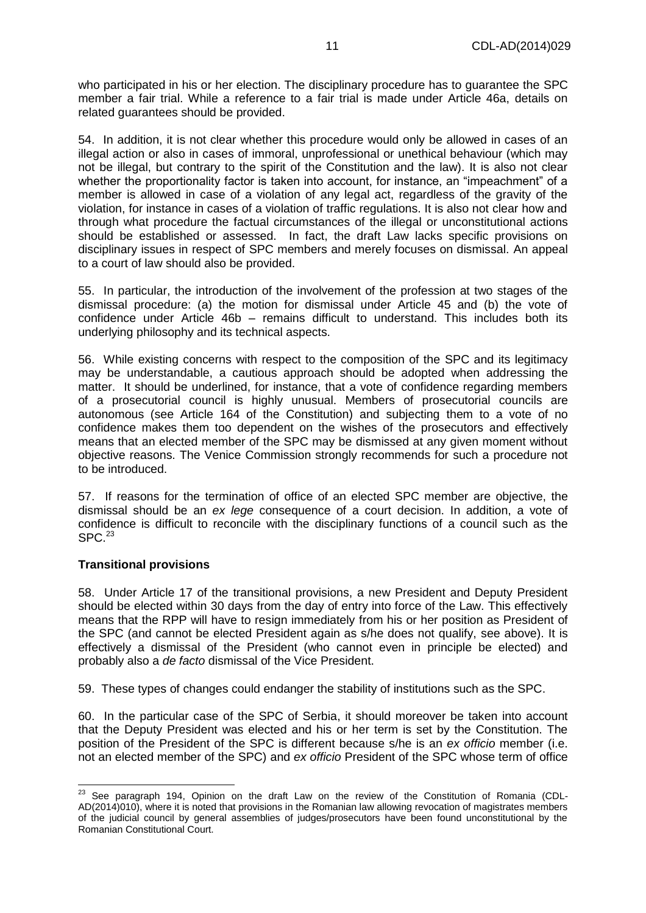who participated in his or her election. The disciplinary procedure has to guarantee the SPC member a fair trial. While a reference to a fair trial is made under Article 46a, details on related guarantees should be provided.

54. In addition, it is not clear whether this procedure would only be allowed in cases of an illegal action or also in cases of immoral, unprofessional or unethical behaviour (which may not be illegal, but contrary to the spirit of the Constitution and the law). It is also not clear whether the proportionality factor is taken into account, for instance, an "impeachment" of a member is allowed in case of a violation of any legal act, regardless of the gravity of the violation, for instance in cases of a violation of traffic regulations. It is also not clear how and through what procedure the factual circumstances of the illegal or unconstitutional actions should be established or assessed. In fact, the draft Law lacks specific provisions on disciplinary issues in respect of SPC members and merely focuses on dismissal. An appeal to a court of law should also be provided.

55. In particular, the introduction of the involvement of the profession at two stages of the dismissal procedure: (a) the motion for dismissal under Article 45 and (b) the vote of confidence under Article 46b – remains difficult to understand. This includes both its underlying philosophy and its technical aspects.

56. While existing concerns with respect to the composition of the SPC and its legitimacy may be understandable, a cautious approach should be adopted when addressing the matter. It should be underlined, for instance, that a vote of confidence regarding members of a prosecutorial council is highly unusual. Members of prosecutorial councils are autonomous (see Article 164 of the Constitution) and subjecting them to a vote of no confidence makes them too dependent on the wishes of the prosecutors and effectively means that an elected member of the SPC may be dismissed at any given moment without objective reasons. The Venice Commission strongly recommends for such a procedure not to be introduced.

57. If reasons for the termination of office of an elected SPC member are objective, the dismissal should be an *ex lege* consequence of a court decision. In addition, a vote of confidence is difficult to reconcile with the disciplinary functions of a council such as the  $SPC.<sup>23</sup>$ 

#### **Transitional provisions**

58. Under Article 17 of the transitional provisions, a new President and Deputy President should be elected within 30 days from the day of entry into force of the Law. This effectively means that the RPP will have to resign immediately from his or her position as President of the SPC (and cannot be elected President again as s/he does not qualify, see above). It is effectively a dismissal of the President (who cannot even in principle be elected) and probably also a *de facto* dismissal of the Vice President.

59. These types of changes could endanger the stability of institutions such as the SPC.

60. In the particular case of the SPC of Serbia, it should moreover be taken into account that the Deputy President was elected and his or her term is set by the Constitution. The position of the President of the SPC is different because s/he is an *ex officio* member (i.e. not an elected member of the SPC) and *ex officio* President of the SPC whose term of office

 $^{23}$  See paragraph 194, Opinion on the draft Law on the review of the Constitution of Romania (CDL-AD(2014)010), where it is noted that provisions in the Romanian law allowing revocation of magistrates members of the judicial council by general assemblies of judges/prosecutors have been found unconstitutional by the Romanian Constitutional Court.